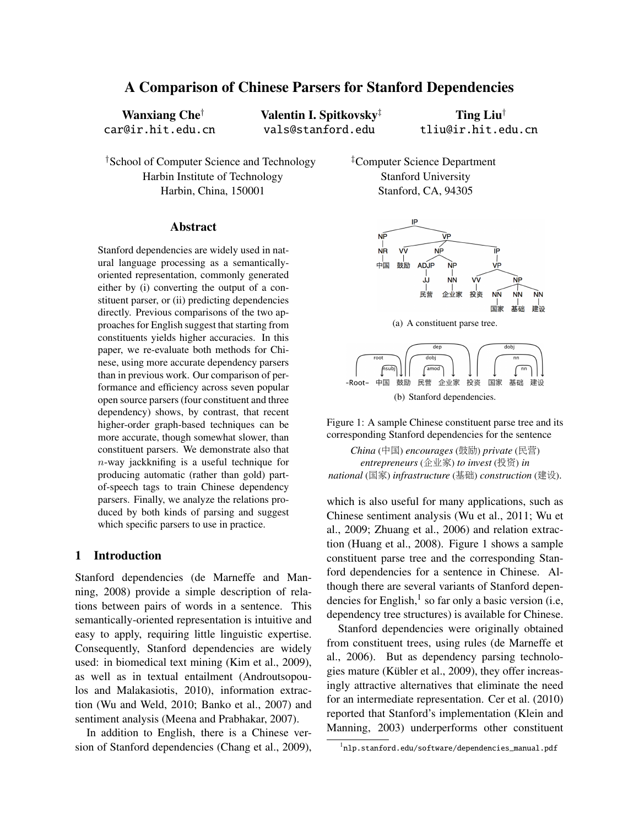# A Comparison of Chinese Parsers for Stanford Dependencies

Wanxiang Che† car@ir.hit.edu.cn Valentin I. Spitkovsky‡ vals@stanford.edu

Ting Liu† tliu@ir.hit.edu.cn

†School of Computer Science and Technology Harbin Institute of Technology Harbin, China, 150001

#### Abstract

Stanford dependencies are widely used in natural language processing as a semanticallyoriented representation, commonly generated either by (i) converting the output of a constituent parser, or (ii) predicting dependencies directly. Previous comparisons of the two approaches for English suggest that starting from constituents yields higher accuracies. In this paper, we re-evaluate both methods for Chinese, using more accurate dependency parsers than in previous work. Our comparison of performance and efficiency across seven popular open source parsers (four constituent and three dependency) shows, by contrast, that recent higher-order graph-based techniques can be more accurate, though somewhat slower, than constituent parsers. We demonstrate also that  $n$ -way jackknifing is a useful technique for producing automatic (rather than gold) partof-speech tags to train Chinese dependency parsers. Finally, we analyze the relations produced by both kinds of parsing and suggest which specific parsers to use in practice.

# 1 Introduction

Stanford dependencies (de Marneffe and Manning, 2008) provide a simple description of relations between pairs of words in a sentence. This semantically-oriented representation is intuitive and easy to apply, requiring little linguistic expertise. Consequently, Stanford dependencies are widely used: in biomedical text mining (Kim et al., 2009), as well as in textual entailment (Androutsopoulos and Malakasiotis, 2010), information extraction (Wu and Weld, 2010; Banko et al., 2007) and sentiment analysis (Meena and Prabhakar, 2007).

In addition to English, there is a Chinese version of Stanford dependencies (Chang et al., 2009), ‡Computer Science Department Stanford University Stanford, CA, 94305



 $\sqrt{\frac{amod}{m}}$ [nsubj -Root- 中国 鼓励 民营 企业家 投资 国家 基础 建设 (b) Stanford dependencies.

Figure 1: A sample Chinese constituent parse tree and its corresponding Stanford dependencies for the sentence

*China* (中国) *encourages* (鼓励) *private* (民营) *entrepreneurs* (企业家) *to invest* (投资) *in national* (国家) *infrastructure* (基础) *construction* (建设).

which is also useful for many applications, such as Chinese sentiment analysis (Wu et al., 2011; Wu et al., 2009; Zhuang et al., 2006) and relation extraction (Huang et al., 2008). Figure 1 shows a sample constituent parse tree and the corresponding Stanford dependencies for a sentence in Chinese. Although there are several variants of Stanford dependencies for English, $<sup>1</sup>$  so far only a basic version (i.e,</sup> dependency tree structures) is available for Chinese.

Stanford dependencies were originally obtained from constituent trees, using rules (de Marneffe et al., 2006). But as dependency parsing technologies mature (Kübler et al., 2009), they offer increasingly attractive alternatives that eliminate the need for an intermediate representation. Cer et al. (2010) reported that Stanford's implementation (Klein and Manning, 2003) underperforms other constituent

<sup>1</sup> nlp.stanford.edu/software/dependencies\_manual.pdf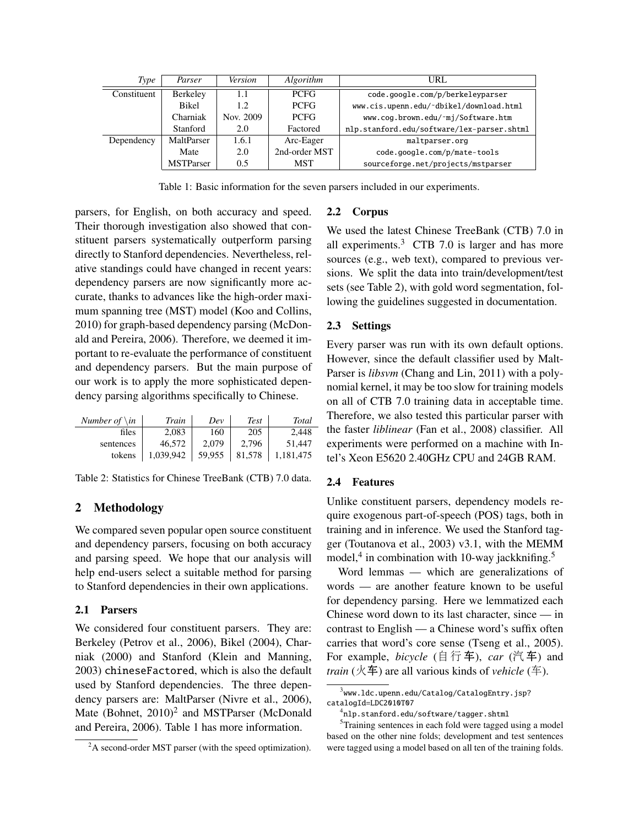| Type        | Parser           | Version   | Algorithm     | URL                                        |
|-------------|------------------|-----------|---------------|--------------------------------------------|
| Constituent | Berkeley         | 1.1       | <b>PCFG</b>   | code.google.com/p/berkeleyparser           |
|             | <b>Bikel</b>     | 1.2       | <b>PCFG</b>   | www.cis.upenn.edu/~dbikel/download.html    |
|             | Charniak         | Nov. 2009 | <b>PCFG</b>   | www.cog.brown.edu/~mj/Software.htm         |
|             | Stanford         | 2.0       | Factored      | nlp.stanford.edu/software/lex-parser.shtml |
| Dependency  | MaltParser       | 1.6.1     | Arc-Eager     | maltparser.org                             |
|             | Mate             | 2.0       | 2nd-order MST | code.google.com/p/mate-tools               |
|             | <b>MSTParser</b> | 0.5       | <b>MST</b>    | sourceforge.net/projects/mstparser         |

Table 1: Basic information for the seven parsers included in our experiments.

parsers, for English, on both accuracy and speed. Their thorough investigation also showed that constituent parsers systematically outperform parsing directly to Stanford dependencies. Nevertheless, relative standings could have changed in recent years: dependency parsers are now significantly more accurate, thanks to advances like the high-order maximum spanning tree (MST) model (Koo and Collins, 2010) for graph-based dependency parsing (McDonald and Pereira, 2006). Therefore, we deemed it important to re-evaluate the performance of constituent and dependency parsers. But the main purpose of our work is to apply the more sophisticated dependency parsing algorithms specifically to Chinese.

| Number of $\infty$ | Train     | Dev    | <b>Test</b> | Total     |
|--------------------|-----------|--------|-------------|-----------|
| files              | 2,083     | 160    | 205         | 2,448     |
| sentences          | 46.572    | 2.079  | 2,796       | 51.447    |
| tokens             | 1,039,942 | 59,955 | 81,578      | 1,181,475 |

Table 2: Statistics for Chinese TreeBank (CTB) 7.0 data.

# 2 Methodology

We compared seven popular open source constituent and dependency parsers, focusing on both accuracy and parsing speed. We hope that our analysis will help end-users select a suitable method for parsing to Stanford dependencies in their own applications.

# 2.1 Parsers

We considered four constituent parsers. They are: Berkeley (Petrov et al., 2006), Bikel (2004), Charniak (2000) and Stanford (Klein and Manning, 2003) chineseFactored, which is also the default used by Stanford dependencies. The three dependency parsers are: MaltParser (Nivre et al., 2006), Mate (Bohnet,  $2010)^2$  and MSTParser (McDonald and Pereira, 2006). Table 1 has more information.

# 2.2 Corpus

We used the latest Chinese TreeBank (CTB) 7.0 in all experiments. $3$  CTB 7.0 is larger and has more sources (e.g., web text), compared to previous versions. We split the data into train/development/test sets (see Table 2), with gold word segmentation, following the guidelines suggested in documentation.

# 2.3 Settings

Every parser was run with its own default options. However, since the default classifier used by Malt-Parser is *libsvm* (Chang and Lin, 2011) with a polynomial kernel, it may be too slow for training models on all of CTB 7.0 training data in acceptable time. Therefore, we also tested this particular parser with the faster *liblinear* (Fan et al., 2008) classifier. All experiments were performed on a machine with Intel's Xeon E5620 2.40GHz CPU and 24GB RAM.

# 2.4 Features

Unlike constituent parsers, dependency models require exogenous part-of-speech (POS) tags, both in training and in inference. We used the Stanford tagger (Toutanova et al., 2003) v3.1, with the MEMM model,<sup>4</sup> in combination with 10-way jackknifing.<sup>5</sup>

Word lemmas — which are generalizations of words — are another feature known to be useful for dependency parsing. Here we lemmatized each Chinese word down to its last character, since — in contrast to English — a Chinese word's suffix often carries that word's core sense (Tseng et al., 2005). For example, *bicycle* (自行车), *car* (汽车) and *train* (火车) are all various kinds of *vehicle* (车).

 $2A$  second-order MST parser (with the speed optimization).

 $^3$ www.ldc.upenn.edu/Catalog/CatalogEntry.jsp? catalogId=LDC2010T07

<sup>4</sup> nlp.stanford.edu/software/tagger.shtml

<sup>&</sup>lt;sup>5</sup>Training sentences in each fold were tagged using a model based on the other nine folds; development and test sentences were tagged using a model based on all ten of the training folds.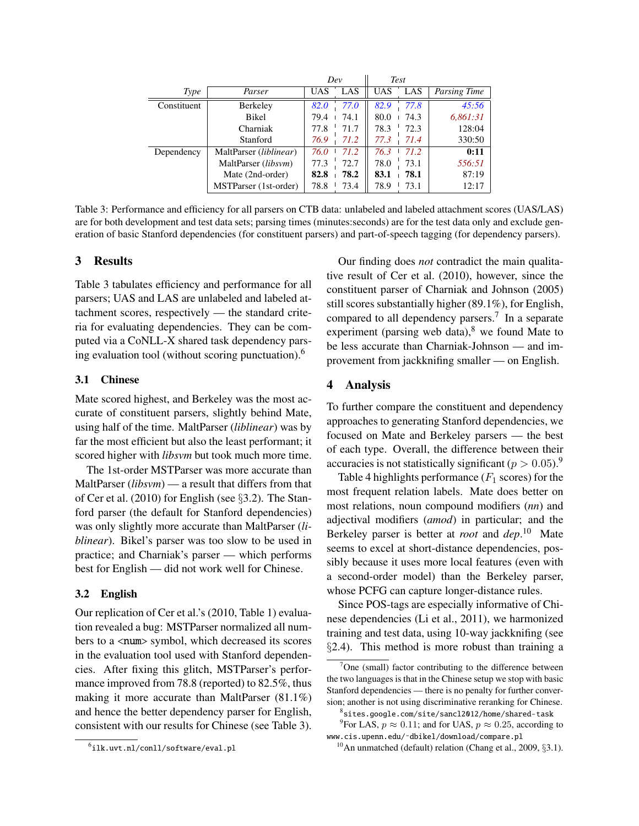|             |                        | Dev        |      | <b>Test</b> |      |              |
|-------------|------------------------|------------|------|-------------|------|--------------|
| Type        | Parser                 | <b>UAS</b> | LAS  | <b>UAS</b>  | LAS  | Parsing Time |
| Constituent | Berkeley               | 82.0       | 77.0 | 82.9        | 77.8 | 45:56        |
|             | Bikel                  | 79.4       | 74.1 | 80.0        | 74.3 | 6,861:31     |
|             | Charniak               | 77.8       | 71.7 | 78.3        | 72.3 | 128:04       |
|             | Stanford               | 76.9       | 71.2 | 77.3        | 71.4 | 330:50       |
| Dependency  | MaltParser (liblinear) | 76.0       | 71.2 | 76.3        | 71.2 | 0:11         |
|             | MaltParser (libsvm)    | 77.3       | 72.7 | 78.0        | 73.1 | 556:51       |
|             | Mate (2nd-order)       | 82.8       | 78.2 | 83.1        | 78.1 | 87:19        |
|             | MSTParser (1st-order)  | 78.8       | 73.4 | 78.9        | 73.1 | 12:17        |

Table 3: Performance and efficiency for all parsers on CTB data: unlabeled and labeled attachment scores (UAS/LAS) are for both development and test data sets; parsing times (minutes:seconds) are for the test data only and exclude generation of basic Stanford dependencies (for constituent parsers) and part-of-speech tagging (for dependency parsers).

# 3 Results

Table 3 tabulates efficiency and performance for all parsers; UAS and LAS are unlabeled and labeled attachment scores, respectively — the standard criteria for evaluating dependencies. They can be computed via a CoNLL-X shared task dependency parsing evaluation tool (without scoring punctuation).<sup>6</sup>

# 3.1 Chinese

Mate scored highest, and Berkeley was the most accurate of constituent parsers, slightly behind Mate, using half of the time. MaltParser (*liblinear*) was by far the most efficient but also the least performant; it scored higher with *libsvm* but took much more time.

The 1st-order MSTParser was more accurate than MaltParser (*libsvm*) — a result that differs from that of Cer et al. (2010) for English (see §3.2). The Stanford parser (the default for Stanford dependencies) was only slightly more accurate than MaltParser (*liblinear*). Bikel's parser was too slow to be used in practice; and Charniak's parser — which performs best for English — did not work well for Chinese.

# 3.2 English

Our replication of Cer et al.'s (2010, Table 1) evaluation revealed a bug: MSTParser normalized all numbers to a <num> symbol, which decreased its scores in the evaluation tool used with Stanford dependencies. After fixing this glitch, MSTParser's performance improved from 78.8 (reported) to 82.5%, thus making it more accurate than MaltParser (81.1%) and hence the better dependency parser for English, consistent with our results for Chinese (see Table 3).

Our finding does *not* contradict the main qualitative result of Cer et al. (2010), however, since the constituent parser of Charniak and Johnson (2005) still scores substantially higher (89.1%), for English, compared to all dependency parsers.<sup>7</sup> In a separate experiment (parsing web data), $8 \text{ we found Mate to}$ be less accurate than Charniak-Johnson — and improvement from jackknifing smaller — on English.

# 4 Analysis

To further compare the constituent and dependency approaches to generating Stanford dependencies, we focused on Mate and Berkeley parsers — the best of each type. Overall, the difference between their accuracies is not statistically significant ( $p > 0.05$ ).<sup>9</sup>

Table 4 highlights performance  $(F_1 \text{ scores})$  for the most frequent relation labels. Mate does better on most relations, noun compound modifiers (*nn*) and adjectival modifiers (*amod*) in particular; and the Berkeley parser is better at *root* and *dep*. <sup>10</sup> Mate seems to excel at short-distance dependencies, possibly because it uses more local features (even with a second-order model) than the Berkeley parser, whose PCFG can capture longer-distance rules.

Since POS-tags are especially informative of Chinese dependencies (Li et al., 2011), we harmonized training and test data, using 10-way jackknifing (see §2.4). This method is more robust than training a

 $^6$ ilk.uvt.nl/conll/software/eval.pl

 $7$ One (small) factor contributing to the difference between the two languages is that in the Chinese setup we stop with basic Stanford dependencies — there is no penalty for further conversion; another is not using discriminative reranking for Chinese.

<sup>8</sup> sites.google.com/site/sancl2012/home/shared-task

<sup>&</sup>lt;sup>9</sup>For LAS,  $p \approx 0.11$ ; and for UAS,  $p \approx 0.25$ , according to www.cis.upenn.edu/˜dbikel/download/compare.pl

<sup>&</sup>lt;sup>10</sup>An unmatched (default) relation (Chang et al., 2009, §3.1).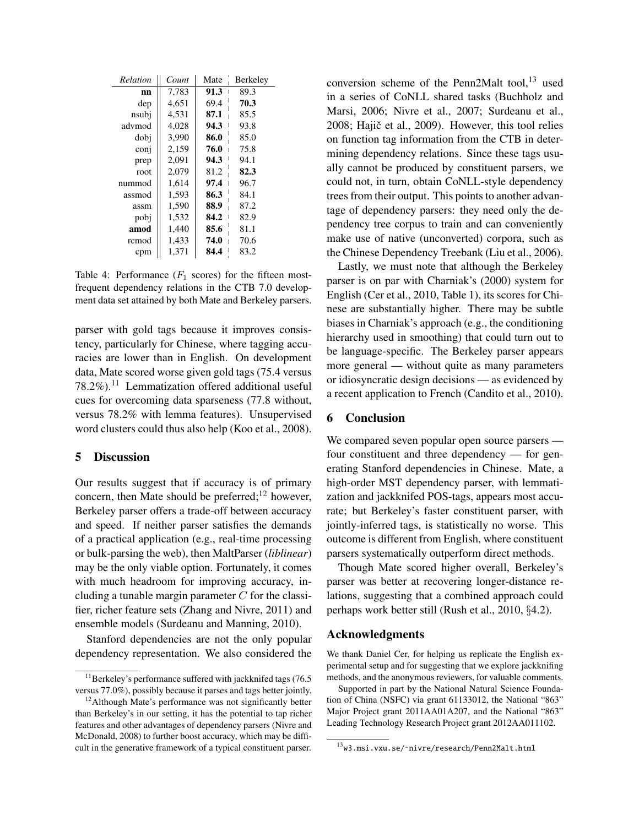| Relation         | Count | Mate      | <b>Berkeley</b> |
|------------------|-------|-----------|-----------------|
| nn               | 7,783 | 91.3<br>ı | 89.3            |
| dep              | 4,651 | 69.4      | 70.3            |
| nsubj            | 4,531 | 87.1      | 85.5            |
| advmod           | 4,028 | 94.3      | 93.8            |
| dobj             | 3.990 | 86.0      | 85.0            |
| con <sub>1</sub> | 2,159 | 76.0      | 75.8            |
| prep             | 2,091 | 94.3      | 94.1            |
| root             | 2,079 | 81.2      | 82.3            |
| nummod           | 1.614 | 97.4      | 96.7            |
| assmod           | 1,593 | 86.3      | 84.1            |
| assm             | 1,590 | 88.9      | 87.2            |
| pobj             | 1,532 | 84.2      | 82.9            |
| amod             | 1,440 | 85.6      | 81.1            |
| remod            | 1,433 | 74.0      | 70.6            |
| cpm              | 1,371 | 84.4      | 83.2            |

Table 4: Performance  $(F_1 \text{ scores})$  for the fifteen mostfrequent dependency relations in the CTB 7.0 development data set attained by both Mate and Berkeley parsers.

parser with gold tags because it improves consistency, particularly for Chinese, where tagging accuracies are lower than in English. On development data, Mate scored worse given gold tags (75.4 versus  $78.2\%)$ <sup>11</sup> Lemmatization offered additional useful cues for overcoming data sparseness (77.8 without, versus 78.2% with lemma features). Unsupervised word clusters could thus also help (Koo et al., 2008).

#### 5 Discussion

Our results suggest that if accuracy is of primary concern, then Mate should be preferred; $^{12}$  however, Berkeley parser offers a trade-off between accuracy and speed. If neither parser satisfies the demands of a practical application (e.g., real-time processing or bulk-parsing the web), then MaltParser (*liblinear*) may be the only viable option. Fortunately, it comes with much headroom for improving accuracy, including a tunable margin parameter  $C$  for the classifier, richer feature sets (Zhang and Nivre, 2011) and ensemble models (Surdeanu and Manning, 2010).

Stanford dependencies are not the only popular dependency representation. We also considered the

conversion scheme of the Penn2Malt tool, $13$  used in a series of CoNLL shared tasks (Buchholz and Marsi, 2006; Nivre et al., 2007; Surdeanu et al., 2008; Hajič et al., 2009). However, this tool relies on function tag information from the CTB in determining dependency relations. Since these tags usually cannot be produced by constituent parsers, we could not, in turn, obtain CoNLL-style dependency trees from their output. This points to another advantage of dependency parsers: they need only the dependency tree corpus to train and can conveniently make use of native (unconverted) corpora, such as the Chinese Dependency Treebank (Liu et al., 2006).

Lastly, we must note that although the Berkeley parser is on par with Charniak's (2000) system for English (Cer et al., 2010, Table 1), its scores for Chinese are substantially higher. There may be subtle biases in Charniak's approach (e.g., the conditioning hierarchy used in smoothing) that could turn out to be language-specific. The Berkeley parser appears more general — without quite as many parameters or idiosyncratic design decisions — as evidenced by a recent application to French (Candito et al., 2010).

# 6 Conclusion

We compared seven popular open source parsers four constituent and three dependency — for generating Stanford dependencies in Chinese. Mate, a high-order MST dependency parser, with lemmatization and jackknifed POS-tags, appears most accurate; but Berkeley's faster constituent parser, with jointly-inferred tags, is statistically no worse. This outcome is different from English, where constituent parsers systematically outperform direct methods.

Though Mate scored higher overall, Berkeley's parser was better at recovering longer-distance relations, suggesting that a combined approach could perhaps work better still (Rush et al., 2010, §4.2).

# Acknowledgments

We thank Daniel Cer, for helping us replicate the English experimental setup and for suggesting that we explore jackknifing methods, and the anonymous reviewers, for valuable comments.

Supported in part by the National Natural Science Foundation of China (NSFC) via grant 61133012, the National "863" Major Project grant 2011AA01A207, and the National "863" Leading Technology Research Project grant 2012AA011102.

 $11$ Berkeley's performance suffered with jackknifed tags (76.5) versus 77.0%), possibly because it parses and tags better jointly.

 $12$ Although Mate's performance was not significantly better than Berkeley's in our setting, it has the potential to tap richer features and other advantages of dependency parsers (Nivre and McDonald, 2008) to further boost accuracy, which may be difficult in the generative framework of a typical constituent parser.

<sup>13</sup>w3.msi.vxu.se/˜nivre/research/Penn2Malt.html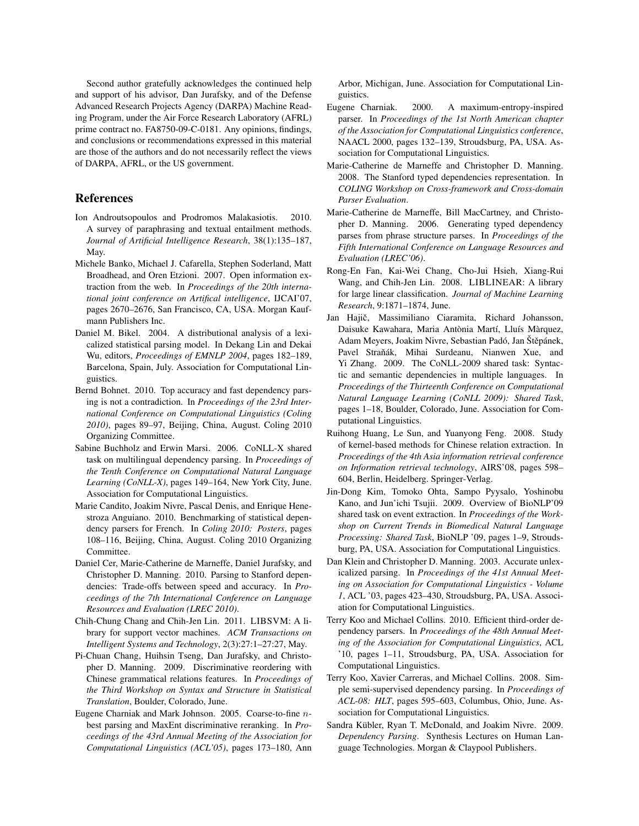Second author gratefully acknowledges the continued help and support of his advisor, Dan Jurafsky, and of the Defense Advanced Research Projects Agency (DARPA) Machine Reading Program, under the Air Force Research Laboratory (AFRL) prime contract no. FA8750-09-C-0181. Any opinions, findings, and conclusions or recommendations expressed in this material are those of the authors and do not necessarily reflect the views of DARPA, AFRL, or the US government.

## References

- Ion Androutsopoulos and Prodromos Malakasiotis. 2010. A survey of paraphrasing and textual entailment methods. *Journal of Artificial Intelligence Research*, 38(1):135–187, May.
- Michele Banko, Michael J. Cafarella, Stephen Soderland, Matt Broadhead, and Oren Etzioni. 2007. Open information extraction from the web. In *Proceedings of the 20th international joint conference on Artifical intelligence*, IJCAI'07, pages 2670–2676, San Francisco, CA, USA. Morgan Kaufmann Publishers Inc.
- Daniel M. Bikel. 2004. A distributional analysis of a lexicalized statistical parsing model. In Dekang Lin and Dekai Wu, editors, *Proceedings of EMNLP 2004*, pages 182–189, Barcelona, Spain, July. Association for Computational Linguistics.
- Bernd Bohnet. 2010. Top accuracy and fast dependency parsing is not a contradiction. In *Proceedings of the 23rd International Conference on Computational Linguistics (Coling 2010)*, pages 89–97, Beijing, China, August. Coling 2010 Organizing Committee.
- Sabine Buchholz and Erwin Marsi. 2006. CoNLL-X shared task on multilingual dependency parsing. In *Proceedings of the Tenth Conference on Computational Natural Language Learning (CoNLL-X)*, pages 149–164, New York City, June. Association for Computational Linguistics.
- Marie Candito, Joakim Nivre, Pascal Denis, and Enrique Henestroza Anguiano. 2010. Benchmarking of statistical dependency parsers for French. In *Coling 2010: Posters*, pages 108–116, Beijing, China, August. Coling 2010 Organizing Committee.
- Daniel Cer, Marie-Catherine de Marneffe, Daniel Jurafsky, and Christopher D. Manning. 2010. Parsing to Stanford dependencies: Trade-offs between speed and accuracy. In *Proceedings of the 7th International Conference on Language Resources and Evaluation (LREC 2010)*.
- Chih-Chung Chang and Chih-Jen Lin. 2011. LIBSVM: A library for support vector machines. *ACM Transactions on Intelligent Systems and Technology*, 2(3):27:1–27:27, May.
- Pi-Chuan Chang, Huihsin Tseng, Dan Jurafsky, and Christopher D. Manning. 2009. Discriminative reordering with Chinese grammatical relations features. In *Proceedings of the Third Workshop on Syntax and Structure in Statistical Translation*, Boulder, Colorado, June.
- Eugene Charniak and Mark Johnson. 2005. Coarse-to-fine nbest parsing and MaxEnt discriminative reranking. In *Proceedings of the 43rd Annual Meeting of the Association for Computational Linguistics (ACL'05)*, pages 173–180, Ann

Arbor, Michigan, June. Association for Computational Linguistics.

- Eugene Charniak. 2000. A maximum-entropy-inspired parser. In *Proceedings of the 1st North American chapter of the Association for Computational Linguistics conference*, NAACL 2000, pages 132–139, Stroudsburg, PA, USA. Association for Computational Linguistics.
- Marie-Catherine de Marneffe and Christopher D. Manning. 2008. The Stanford typed dependencies representation. In *COLING Workshop on Cross-framework and Cross-domain Parser Evaluation*.
- Marie-Catherine de Marneffe, Bill MacCartney, and Christopher D. Manning. 2006. Generating typed dependency parses from phrase structure parses. In *Proceedings of the Fifth International Conference on Language Resources and Evaluation (LREC'06)*.
- Rong-En Fan, Kai-Wei Chang, Cho-Jui Hsieh, Xiang-Rui Wang, and Chih-Jen Lin. 2008. LIBLINEAR: A library for large linear classification. *Journal of Machine Learning Research*, 9:1871–1874, June.
- Jan Hajič, Massimiliano Ciaramita, Richard Johansson, Daisuke Kawahara, Maria Antònia Martí, Lluís Màrquez, Adam Meyers, Joakim Nivre, Sebastian Padó, Jan Štěpánek, Pavel Straňák, Mihai Surdeanu, Nianwen Xue, and Yi Zhang. 2009. The CoNLL-2009 shared task: Syntactic and semantic dependencies in multiple languages. In *Proceedings of the Thirteenth Conference on Computational Natural Language Learning (CoNLL 2009): Shared Task*, pages 1–18, Boulder, Colorado, June. Association for Computational Linguistics.
- Ruihong Huang, Le Sun, and Yuanyong Feng. 2008. Study of kernel-based methods for Chinese relation extraction. In *Proceedings of the 4th Asia information retrieval conference on Information retrieval technology*, AIRS'08, pages 598– 604, Berlin, Heidelberg. Springer-Verlag.
- Jin-Dong Kim, Tomoko Ohta, Sampo Pyysalo, Yoshinobu Kano, and Jun'ichi Tsujii. 2009. Overview of BioNLP'09 shared task on event extraction. In *Proceedings of the Workshop on Current Trends in Biomedical Natural Language Processing: Shared Task*, BioNLP '09, pages 1–9, Stroudsburg, PA, USA. Association for Computational Linguistics.
- Dan Klein and Christopher D. Manning. 2003. Accurate unlexicalized parsing. In *Proceedings of the 41st Annual Meeting on Association for Computational Linguistics - Volume 1*, ACL '03, pages 423–430, Stroudsburg, PA, USA. Association for Computational Linguistics.
- Terry Koo and Michael Collins. 2010. Efficient third-order dependency parsers. In *Proceedings of the 48th Annual Meeting of the Association for Computational Linguistics*, ACL '10, pages 1–11, Stroudsburg, PA, USA. Association for Computational Linguistics.
- Terry Koo, Xavier Carreras, and Michael Collins. 2008. Simple semi-supervised dependency parsing. In *Proceedings of ACL-08: HLT*, pages 595–603, Columbus, Ohio, June. Association for Computational Linguistics.
- Sandra Kübler, Ryan T. McDonald, and Joakim Nivre. 2009. *Dependency Parsing*. Synthesis Lectures on Human Language Technologies. Morgan & Claypool Publishers.